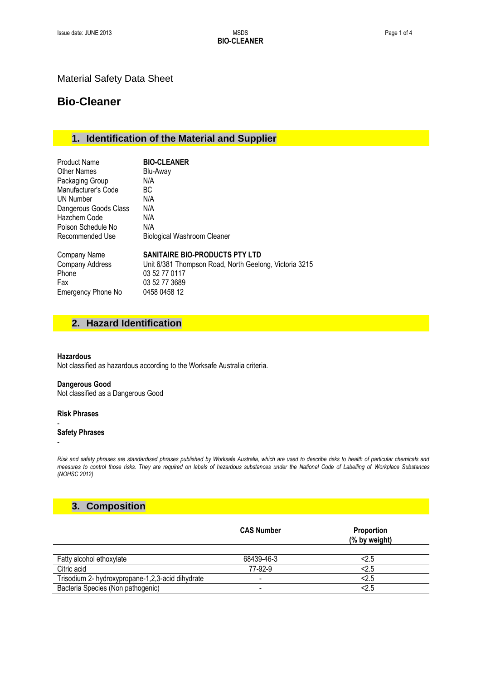### Material Safety Data Sheet

## **Bio-Cleaner**

## **1. Identification of the Material and Supplier**

| <b>Product Name</b>   | <b>BIO-CLEANER</b>                                     |
|-----------------------|--------------------------------------------------------|
| Other Names           | Blu-Away                                               |
| Packaging Group       | N/A                                                    |
| Manufacturer's Code   | ВC                                                     |
| UN Number             | N/A                                                    |
| Dangerous Goods Class | N/A                                                    |
| Hazchem Code          | N/A                                                    |
| Poison Schedule No    | N/A                                                    |
| Recommended Use       | <b>Biological Washroom Cleaner</b>                     |
| Company Name          | SANITAIRE BIO-PRODUCTS PTY LTD                         |
| Company Address       | Unit 6/381 Thompson Road, North Geelong, Victoria 3215 |
| Phone                 | 03 52 77 0117                                          |
| Fax                   | 03 52 77 3689                                          |
| Emergency Phone No    | 0458 0458 12                                           |

### **2. Hazard Identification**

#### **Hazardous**

Not classified as hazardous according to the Worksafe Australia criteria.

#### **Dangerous Good**

Not classified as a Dangerous Good

#### **Risk Phrases**

#### **Safety Phrases**

-

-

*Risk and safety phrases are standardised phrases published by Worksafe Australia, which are used to describe risks to health of particular chemicals and measures to control those risks. They are required on labels of hazardous substances under the National Code of Labelling of Workplace Substances (NOHSC 2012)*

## **3. Composition**

|                                                  | <b>CAS Number</b> | <b>Proportion</b><br>(% by weight) |
|--------------------------------------------------|-------------------|------------------------------------|
| Fatty alcohol ethoxylate                         | 68439-46-3        | <2.5                               |
| Citric acid                                      | 77-92-9           | < 2.5                              |
| Trisodium 2- hydroxypropane-1,2,3-acid dihydrate |                   | <2.5                               |
| Bacteria Species (Non pathogenic)                | -                 | 2.5                                |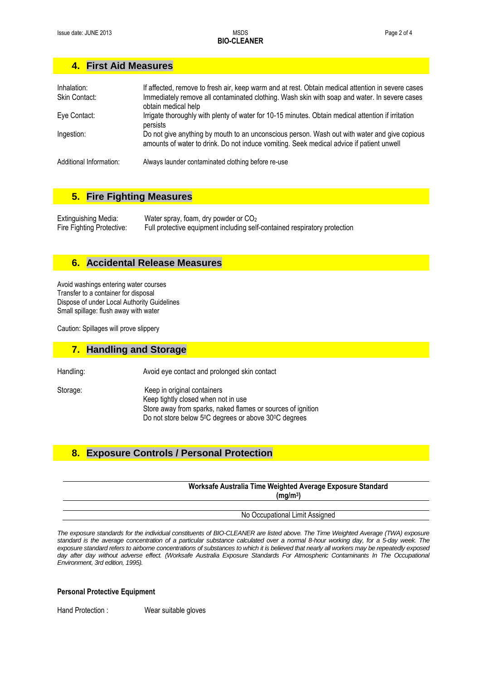## **4. First Aid Measures**

| Inhalation:<br>Skin Contact: | If affected, remove to fresh air, keep warm and at rest. Obtain medical attention in severe cases<br>Immediately remove all contaminated clothing. Wash skin with soap and water. In severe cases<br>obtain medical help |
|------------------------------|--------------------------------------------------------------------------------------------------------------------------------------------------------------------------------------------------------------------------|
| Eye Contact:                 | Irrigate thoroughly with plenty of water for 10-15 minutes. Obtain medical attention if irritation<br>persists                                                                                                           |
| Ingestion:                   | Do not give anything by mouth to an unconscious person. Wash out with water and give copious<br>amounts of water to drink. Do not induce vomiting. Seek medical advice if patient unwell                                 |
| Additional Information:      | Always launder contaminated clothing before re-use                                                                                                                                                                       |

### **5. Fire Fighting Measures**

Extinguishing Media: Water spray, foam, dry powder or CO<sub>2</sub><br>Fire Fighting Protective: Full protective equipment including self Full protective equipment including self-contained respiratory protection

#### **6. Accidental Release Measures**

Avoid washings entering water courses Transfer to a container for disposal Dispose of under Local Authority Guidelines Small spillage: flush away with water

Caution: Spillages will prove slippery

#### **7. Handling and Storage**

Handling: National Avoid eye contact and prolonged skin contact

Storage: Keep in original containers Keep tightly closed when not in use Store away from sparks, naked flames or sources of ignition Do not store below 5<sup>0</sup>C degrees or above 30<sup>0</sup>C degrees

## **8. Exposure Controls / Personal Protection**

| Worksafe Australia Time Weighted Average Exposure Standard |                      |
|------------------------------------------------------------|----------------------|
|                                                            |                      |
|                                                            |                      |
|                                                            |                      |
| No Occupational Limit Assigned                             |                      |
|                                                            | (ma/m <sup>3</sup> ) |

*The exposure standards for the individual constituents of BIO-CLEANER are listed above. The Time Weighted Average (TWA) exposure standard is the average concentration of a particular substance calculated over a normal 8-hour working day, for a 5-day week. The exposure standard refers to airborne concentrations of substances to which it is believed that nearly all workers may be repeatedly exposed day after day without adverse effect. (Worksafe Australia Exposure Standards For Atmospheric Contaminants In The Occupational Environment, 3rd edition, 1995).*

#### **Personal Protective Equipment**

Hand Protection : Wear suitable gloves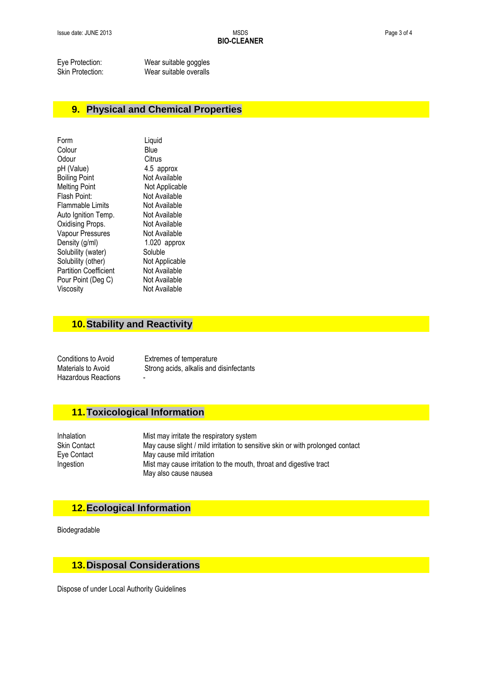Eye Protection: Wear suitable goggles<br>
Skin Protection: Wear suitable overalls Wear suitable overalls

### **9. Physical and Chemical Properties**

| Form                         | Liquid         |
|------------------------------|----------------|
| Colour                       | Blue           |
| Odour                        | Citrus         |
| pH (Value)                   | 4.5 approx     |
| <b>Boiling Point</b>         | Not Available  |
| <b>Melting Point</b>         | Not Applicable |
| Flash Point:                 | Not Available  |
| Flammable Limits             | Not Available  |
| Auto Ignition Temp.          | Not Available  |
| Oxidising Props.             | Not Available  |
| Vapour Pressures             | Not Available  |
| Density (g/ml)               | 1.020 approx   |
| Solubility (water)           | Soluble        |
| Solubility (other)           | Not Applicable |
| <b>Partition Coefficient</b> | Not Available  |
| Pour Point (Deg C)           | Not Available  |
| Viscosity                    | Not Available  |
|                              |                |

### **10.Stability and Reactivity**

Hazardous Reactions -

Conditions to Avoid<br>
Materials to Avoid<br>
Strong acids. alkalis and Strong acids, alkalis and disinfectants

### **11.Toxicological Information**

Inhalation Mist may irritate the respiratory system Skin Contact May cause slight / mild irritation to sensitive skin or with prolonged contact<br>Eye Contact May cause mild irritation May cause mild irritation Ingestion Mist may cause irritation to the mouth, throat and digestive tract May also cause nausea

### **12.Ecological Information**

Biodegradable

# **13.Disposal Considerations**

Dispose of under Local Authority Guidelines